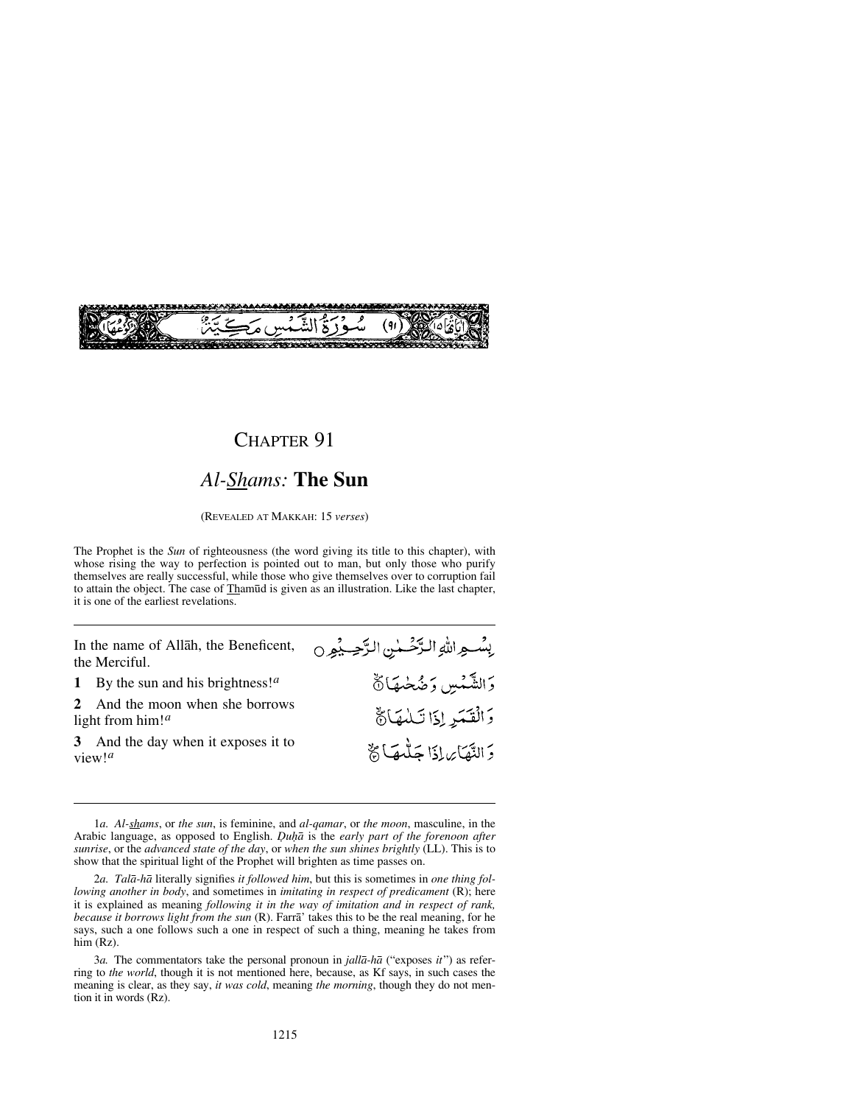

#### *Al-Shams:* **The Sun**

(REVEALED AT MAKKAH: 15 *verses*)

The Prophet is the *Sun* of righteousness (the word giving its title to this chapter), with whose rising the way to perfection is pointed out to man, but only those who purify themselves are really successful, while those who give themselves over to corruption fail to attain the object. The case of Thamūd is given as an illustration. Like the last chapter, it is one of the earliest revelations.

In the name of Allåh, the Beneficent, the Merciful.

- **1** By the sun and his brightness!*<sup>a</sup>*
- **2** And the moon when she borrows light from him!*<sup>a</sup>*
- **3** And the day when it exposes it to view!*<sup>a</sup>*
- بِسْسِواللَّهِ الرَّحْسِيٰنِ الرَّحِسِيْوِ 0 دَ الشَّمْسِ وَضُخْمَهَا نَّ وَالْقَيَرِ إِذَا تَلْبَهَا؟ دَ النَّهَائِ إِذَا جَلُّمَهَا ﴾

<sup>1</sup>*a. Al-shams*, or *the sun*, is feminine, and *al-qamar*, or *the moon*, masculine, in the Arabic language, as opposed to English. *Óu√å* is the *early part of the forenoon after sunrise*, or the *advanced state of the day*, or *when the sun shines brightly* (LL). This is to show that the spiritual light of the Prophet will brighten as time passes on.

<sup>2</sup>*a. Talå-hå* literally signifies *it followed him*, but this is sometimes in *one thing following another in body*, and sometimes in *imitating in respect of predicament* (R); here it is explained as meaning *following it in the way of imitation and in respect of rank, because it borrows light from the sun* (R). Farrå' takes this to be the real meaning, for he says, such a one follows such a one in respect of such a thing, meaning he takes from him (Rz).

<sup>3</sup>*a.* The commentators take the personal pronoun in *jallå-hå* ("exposes *it*") as referring to *the world*, though it is not mentioned here, because, as Kf says, in such cases the meaning is clear, as they say, *it was cold*, meaning *the morning*, though they do not mention it in words (Rz).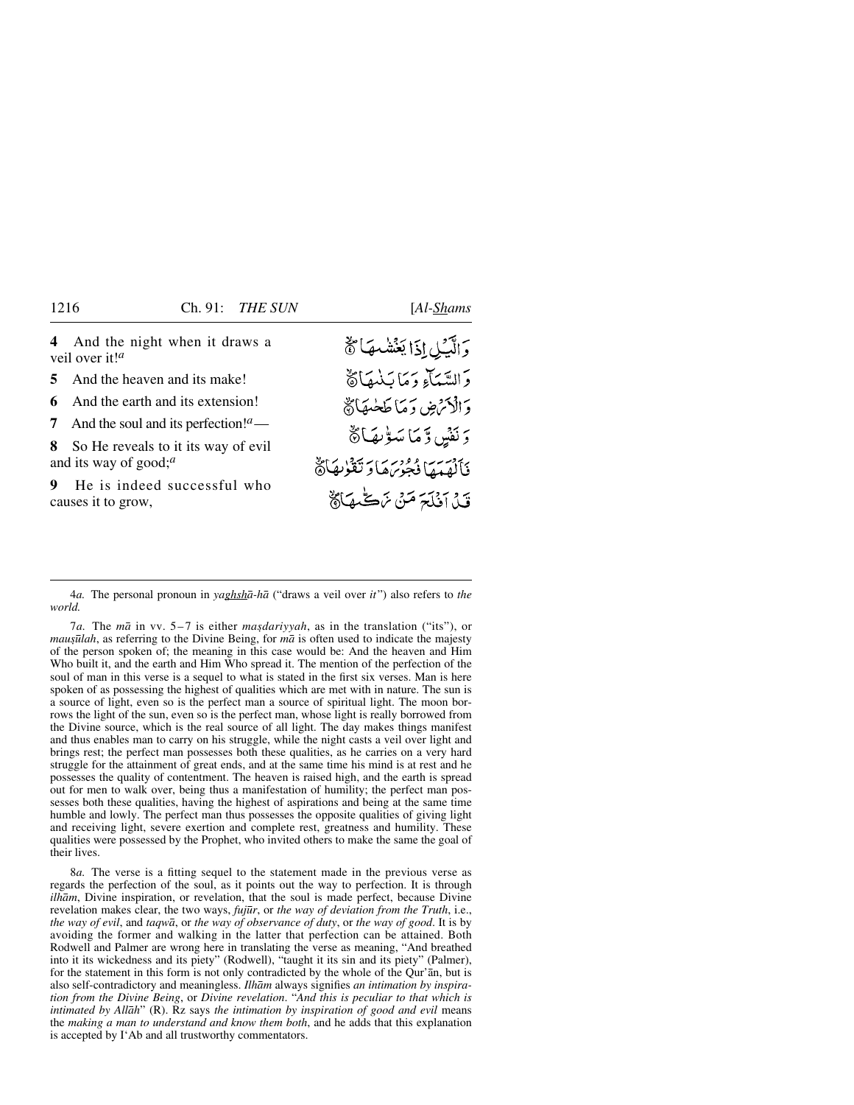**4** And the night when it draws a veil over it!*<sup>a</sup>*

**5** And the heaven and its make!

**6** And the earth and its extension!

**7** And the soul and its perfection!*a*—

**8** So He reveals to it its way of evil and its way of good;*<sup>a</sup>*

**9** He is indeed successful who causes it to grow,

وَالَّيۡلِ إِذَا يَغۡشَمَهَا ﴾ وَالسَّيَآءِ وَمَا بَنْبِهَاهُ دَ الْأَنْرُضِ دَ مَا طَعْبِهَا ﴾ دَ نَفْسٍ دِّ مَا سَوْيِهَا ﴾ فَأَلْهَمَهَا فَجُوبَهَا وَتَقْزِيهَا ﴾ قَيْلَ أَذْلَحَ مَنْ نَهْكَ هَاَ لَهِ

4*a.* The personal pronoun in *yaghshå-hå* ("draws a veil over *it*") also refers to *the world.*

7*a*. The *mā* in vv. 5–7 is either *masdariyyah*, as in the translation ("its"), or *mauşūlah*, as referring to the Divine Being, for *mā* is often used to indicate the majesty of the person spoken of; the meaning in this case would be: And the heaven and Him Who built it, and the earth and Him Who spread it. The mention of the perfection of the soul of man in this verse is a sequel to what is stated in the first six verses. Man is here spoken of as possessing the highest of qualities which are met with in nature. The sun is a source of light, even so is the perfect man a source of spiritual light. The moon borrows the light of the sun, even so is the perfect man, whose light is really borrowed from the Divine source, which is the real source of all light. The day makes things manifest and thus enables man to carry on his struggle, while the night casts a veil over light and brings rest; the perfect man possesses both these qualities, as he carries on a very hard struggle for the attainment of great ends, and at the same time his mind is at rest and he possesses the quality of contentment. The heaven is raised high, and the earth is spread out for men to walk over, being thus a manifestation of humility; the perfect man possesses both these qualities, having the highest of aspirations and being at the same time humble and lowly. The perfect man thus possesses the opposite qualities of giving light and receiving light, severe exertion and complete rest, greatness and humility. These qualities were possessed by the Prophet, who invited others to make the same the goal of their lives.

8*a.* The verse is a fitting sequel to the statement made in the previous verse as regards the perfection of the soul, as it points out the way to perfection. It is through *ilhåm*, Divine inspiration, or revelation, that the soul is made perfect, because Divine revelation makes clear, the two ways, *fuj∂r*, or *the way of deviation from the Truth*, i.e., *the way of evil*, and *taqwå*, or *the way of observance of duty*, or *the way of good*. It is by avoiding the former and walking in the latter that perfection can be attained. Both Rodwell and Palmer are wrong here in translating the verse as meaning, "And breathed into it its wickedness and its piety" (Rodwell), "taught it its sin and its piety" (Palmer), for the statement in this form is not only contradicted by the whole of the Qur'ån, but is also self-contradictory and meaningless. *Ilhåm* always signifies *an intimation by inspiration from the Divine Being*, or *Divine revelation*. "*And this is peculiar to that which is intimated by Allåh*" (R). Rz says *the intimation by inspiration of good and evil* means the *making a man to understand and know them both*, and he adds that this explanation is accepted by I'Ab and all trustworthy commentators.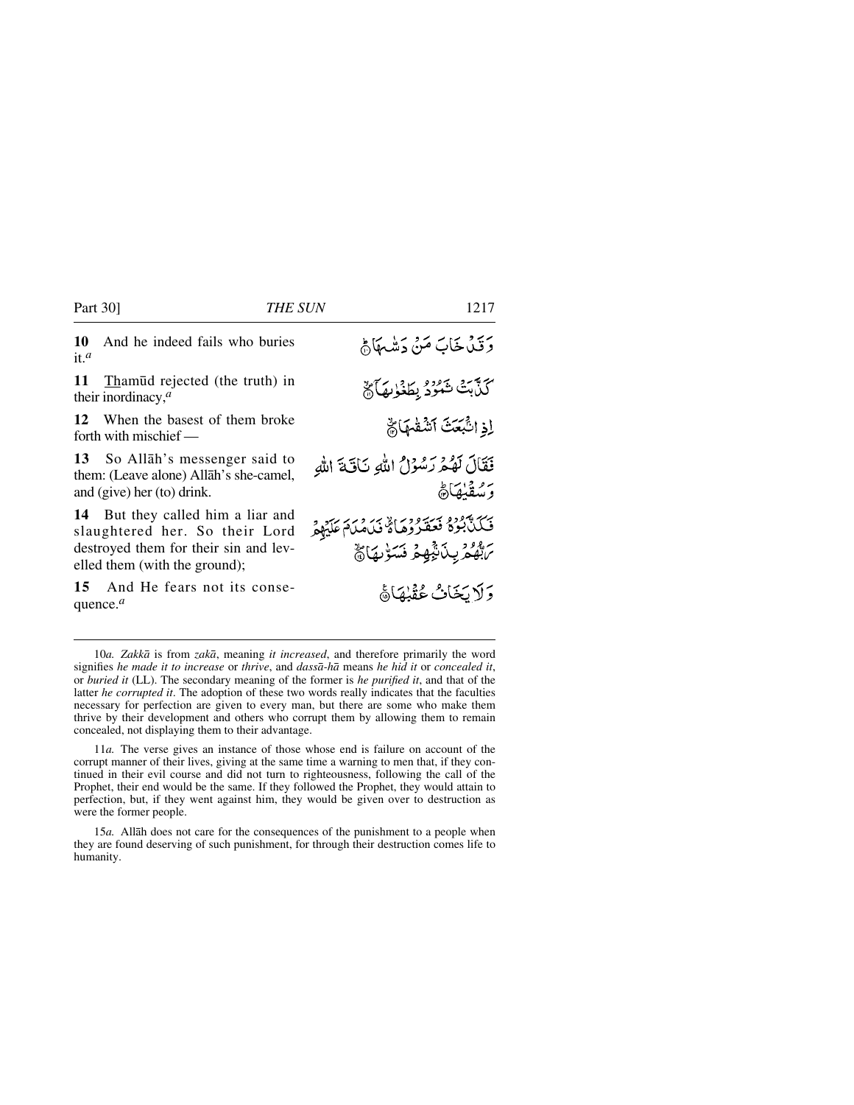#### Part 30] *THE SUN* 1217

**11** Tham∂d rejected (the truth) in their inordinacy,*<sup>a</sup>*

**12** When the basest of them broke forth with mischief —

**13** So Allåh's messenger said to them: (Leave alone) Allåh's she-camel, and (give) her (to) drink.

**14** But they called him a liar and slaughtered her. So their Lord destroyed them for their sin and levelled them (with the ground);

**15** And He fears not its consequence.*<sup>a</sup>*

وَقَيْدُ خَابَ مَنْ دَمِيْسِهَا فِي كَذَّبَتْ شَهْرُدُ بِطَغْابِهَا لَ إذ انتَّبَعَتْ أَنشَقْهَا لَهُمْ فَقَالَ لَهُمْ رَسُوْلُ اللَّهِ نَاقَةَ اللَّه وتبعقنهاة فَكَنَّ بُوَةٍ مَسَوَّرٍ وَمَاءٌ فَكَامُلَةٍ عَلَيْهِمْ بَاتَّهُمْ بِدَٰنَّةٍ فِمَ فَسَوْرِيَاهُمْ وَلَايَخَاثُ عُقْبُهَا؟

10*a. Zakkå* is from *zakå*, meaning *it increased*, and therefore primarily the word signifies *he made it to increase* or *thrive*, and *dasså-hå* means *he hid it* or *concealed it*, or *buried it* (LL). The secondary meaning of the former is *he purified it*, and that of the latter *he corrupted it*. The adoption of these two words really indicates that the faculties necessary for perfection are given to every man, but there are some who make them thrive by their development and others who corrupt them by allowing them to remain concealed, not displaying them to their advantage.

11*a.* The verse gives an instance of those whose end is failure on account of the corrupt manner of their lives, giving at the same time a warning to men that, if they continued in their evil course and did not turn to righteousness, following the call of the Prophet, their end would be the same. If they followed the Prophet, they would attain to perfection, but, if they went against him, they would be given over to destruction as were the former people.

15*a.* Allåh does not care for the consequences of the punishment to a people when they are found deserving of such punishment, for through their destruction comes life to humanity.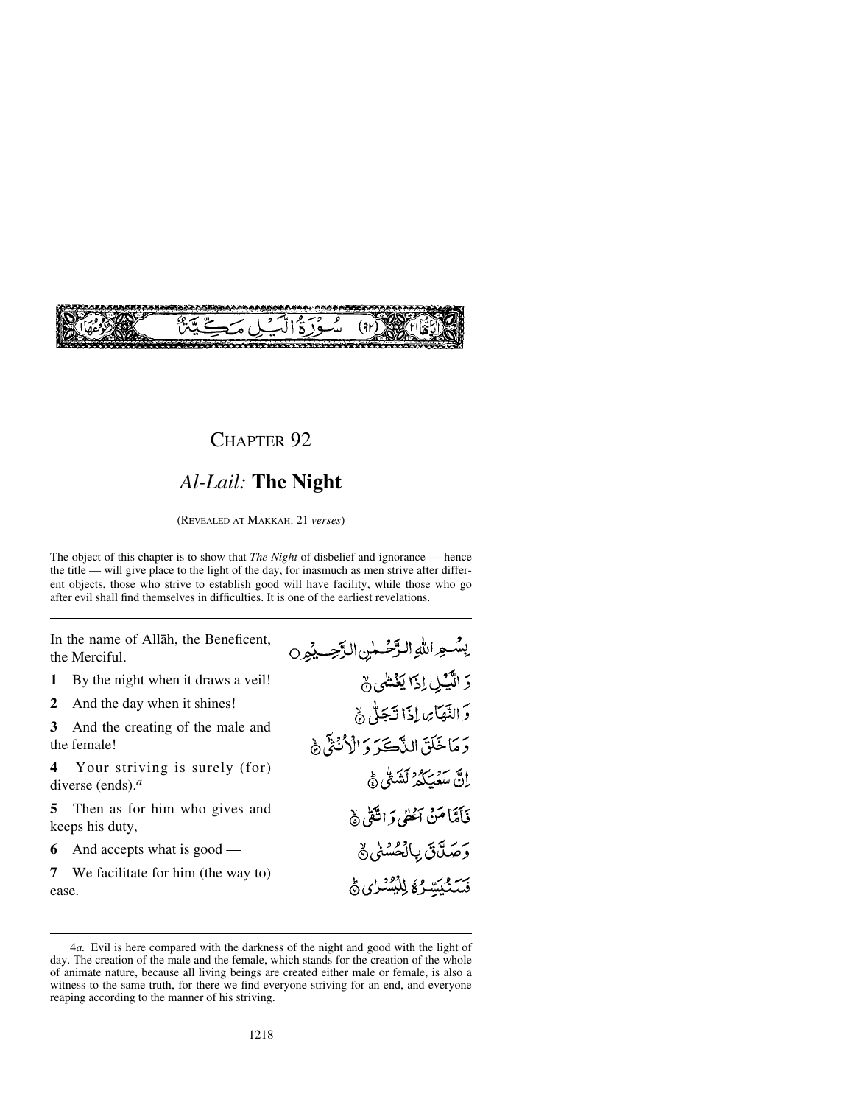

# *Al-Lail:* **The Night**

(REVEALED AT MAKKAH: 21 *verses*)

The object of this chapter is to show that *The Night* of disbelief and ignorance — hence the title — will give place to the light of the day, for inasmuch as men strive after different objects, those who strive to establish good will have facility, while those who go after evil shall find themselves in difficulties. It is one of the earliest revelations.

In the name of Allåh, the Beneficent, the Merciful.

**1** By the night when it draws a veil!<br>**2** And the day when it shines!

2 And the day when it shines!<br>**3** And the creating of the mal

**3** And the creating of the male and the female! —

**4** Your striving is surely (for) diverse (ends).*a*

**5** Then as for him who gives and keeps his duty,

**6** And accepts what is good —

**7** We facilitate for him (the way to) ease.

| بِشُعِراللهِ الرَّحْسٰنِ الرَّحِسِيْمِِ 0 |
|-------------------------------------------|
| 5 الَّكِيلِ اِذَا يَغْشَى جْ              |
| وَ النَّهَائِ إِذَا تَجَلُّ ﴾             |
| وَمَاخَلَقَ النَّاكَّرَ وَالْأُنْثَى ۞    |
| ٳڽ <i>ۧ؞ٮۜڎؽ</i> ؘػۮ <i>ۮ</i> ڷۺٙڴؽ؋      |
| فَأَمَّاً مَنْ أَعْطٰى وَ اتَّقْى ﴾       |
| <b>ۯؘڝؘڷۜڽۧ</b> ۑٳڷڂۺڶؽ؋                  |
| فَسَنُبَيَّتِيْرُهُ لِلْبُشْدُنِيِّ فَي   |

<sup>4</sup>*a.* Evil is here compared with the darkness of the night and good with the light of day. The creation of the male and the female, which stands for the creation of the whole of animate nature, because all living beings are created either male or female, is also a witness to the same truth, for there we find everyone striving for an end, and everyone reaping according to the manner of his striving.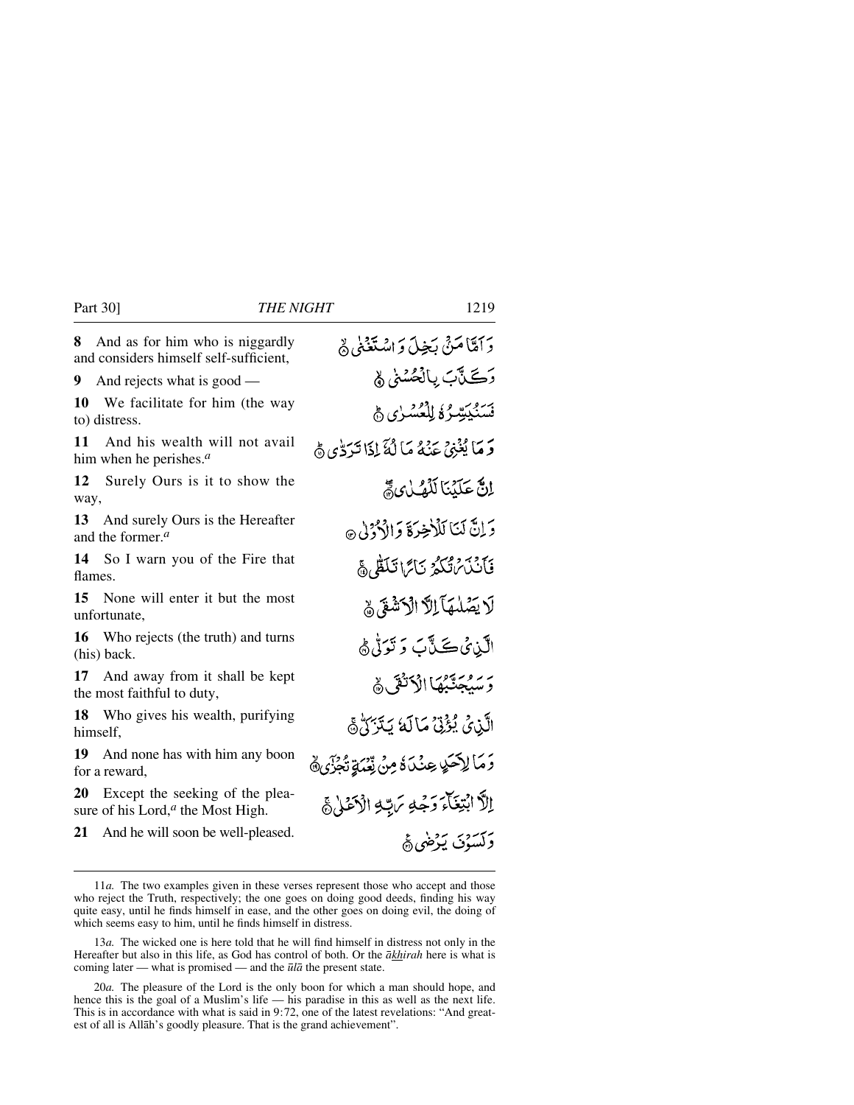**8** And as for him who is niggardly and considers himself self-sufficient,

**9** And rejects what is good —

**10** We facilitate for him (the way to) distress.

**11** And his wealth will not avail him when he perishes.*a*

**12** Surely Ours is it to show the way,

**13** And surely Ours is the Hereafter and the former.*a*

**14** So I warn you of the Fire that flames.

**15** None will enter it but the most unfortunate,

**16** Who rejects (the truth) and turns (his) back.

**17** And away from it shall be kept the most faithful to duty,

**18** Who gives his wealth, purifying himself,

**19** And none has with him any boon for a reward,

**20** Except the seeking of the pleasure of his Lord,*<sup>a</sup>* the Most High.

**21** And he will soon be well-pleased.

دَ أَمَّاً مَنْ يَجِيلَ وَ اسْتَغَنَىٰ لَهُ رَڪَنَّتِ پالْڪُسُنِّي ۾ فَسَنُكِيِّبِيٌّ فَالْمُكْسَرُي هَيْ وَ مَا يُغْنِي عَنْهُ مَا لَٰهٌ إِذَا تَدَوُّي هَي إِنَّ عَلَيْنَا لَلْفُلْ يَ دَ إِنَّ لَمَنَا لَلْأَخِيرَةَ وَالْأَذْوُلِي ۞ فَأَنْذَىٰ تُكُّرُ نَائِمَا تَلَكُّلُ ﴾ لَا يَصْلُمَهَا إِلَّا الْآَشَةِ ﴾ الآبن ئى ڪَٽَآبَ دَ نَوَڻُ ۾ بَرْ مُحَدَّبُهَا إِذْ كُثَّى هُ الَّذِيْ يُؤْتِيُّ مَالَهُ يَتَرَكُّ ﴾ وَ مَا لِإِحَدٍ عِنْدَةٌ مِنْ نِّعْدَةٍ تُجْزَى ﴾ اِلاً ابْتِغَاءَ دَجْهِ بَرِيّهِ الْأَعْلَىٰ ﴾ دَكْتَبْدْنَ بَدْضَيْءً

<sup>11</sup>*a.* The two examples given in these verses represent those who accept and those who reject the Truth, respectively; the one goes on doing good deeds, finding his way quite easy, until he finds himself in ease, and the other goes on doing evil, the doing of which seems easy to him, until he finds himself in distress.

<sup>13</sup>*a.* The wicked one is here told that he will find himself in distress not only in the Hereafter but also in this life, as God has control of both. Or the *åkhirah* here is what is coming later — what is promised — and the *∂lå* the present state.

<sup>20</sup>*a.* The pleasure of the Lord is the only boon for which a man should hope, and hence this is the goal of a Muslim's life — his paradise in this as well as the next life. This is in accordance with what is said in 9:72, one of the latest revelations: "And greatest of all is Allåh's goodly pleasure. That is the grand achievement".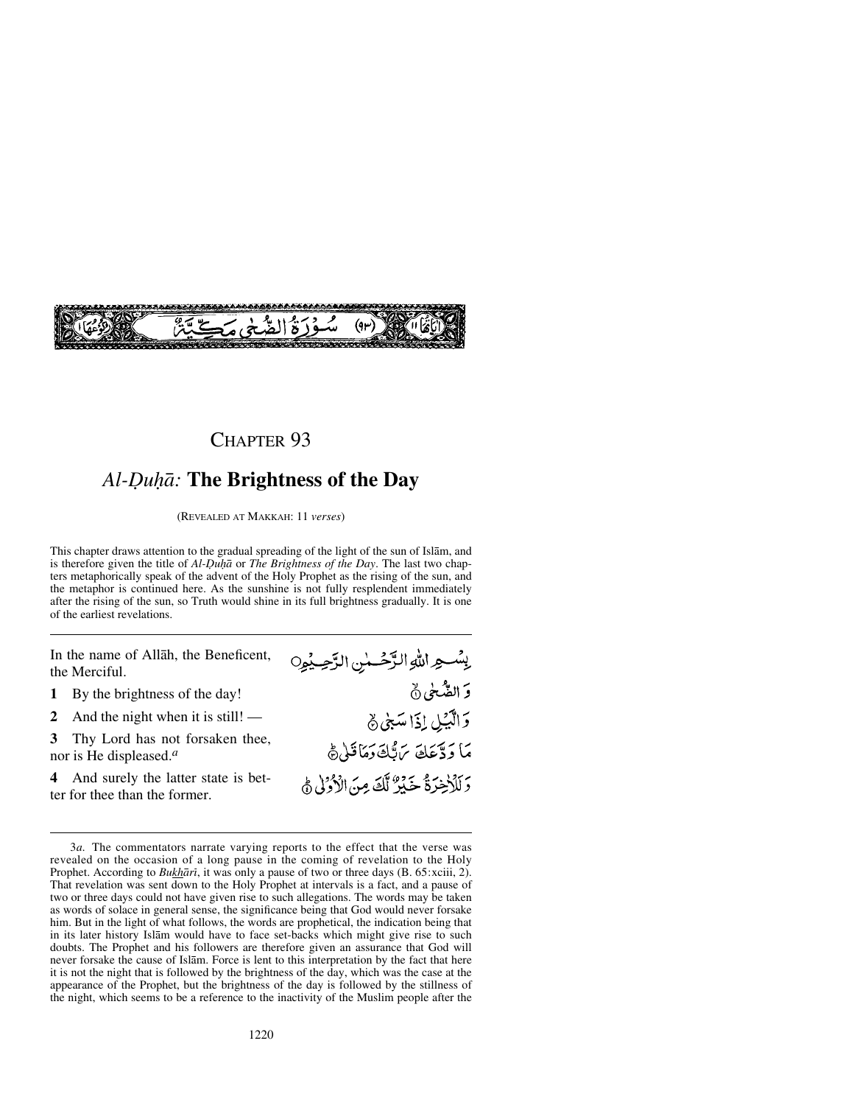

### *Al-Óu√å:* **The Brightness of the Day**

(REVEALED AT MAKKAH: 11 *verses*)

This chapter draws attention to the gradual spreading of the light of the sun of Islåm, and is therefore given the title of *Al-Óu√å* or *The Brightness of the Day*. The last two chapters metaphorically speak of the advent of the Holy Prophet as the rising of the sun, and the metaphor is continued here. As the sunshine is not fully resplendent immediately after the rising of the sun, so Truth would shine in its full brightness gradually. It is one of the earliest revelations.

In the name of Allåh, the Beneficent, the Merciful.

- **1** By the brightness of the day!<br>**2** And the night when it is still!
- **2** And the night when it is still! —<br>**3** Thy Lord has not forsaken thee

**3** Thy Lord has not forsaken thee, nor is He displeased.*<sup>a</sup>*

**4** And surely the latter state is better for thee than the former.

يِسْعِ اللَّهِ الرَّحْسٰنِ الرَّحِيْمِِ0 وَ الصَّحْیِ۞ وَالْكَبْلِ إِذَا سَبْيُ ﴾ مَا وَدَّعَكَ يَرَبُّكَ وَمَاقَلَى ثَ وَلَلْإِخِرَةُ خَيْرٌ لَّكَ مِنَ الْأَوْلَى ثَمَّ

<sup>3</sup>*a.* The commentators narrate varying reports to the effect that the verse was revealed on the occasion of a long pause in the coming of revelation to the Holy Prophet. According to *Bukhārī*, it was only a pause of two or three days (B. 65:xciii, 2). That revelation was sent down to the Holy Prophet at intervals is a fact, and a pause of two or three days could not have given rise to such allegations. The words may be taken as words of solace in general sense, the significance being that God would never forsake him. But in the light of what follows, the words are prophetical, the indication being that in its later history Islåm would have to face set-backs which might give rise to such doubts. The Prophet and his followers are therefore given an assurance that God will never forsake the cause of Islåm. Force is lent to this interpretation by the fact that here it is not the night that is followed by the brightness of the day, which was the case at the appearance of the Prophet, but the brightness of the day is followed by the stillness of the night, which seems to be a reference to the inactivity of the Muslim people after the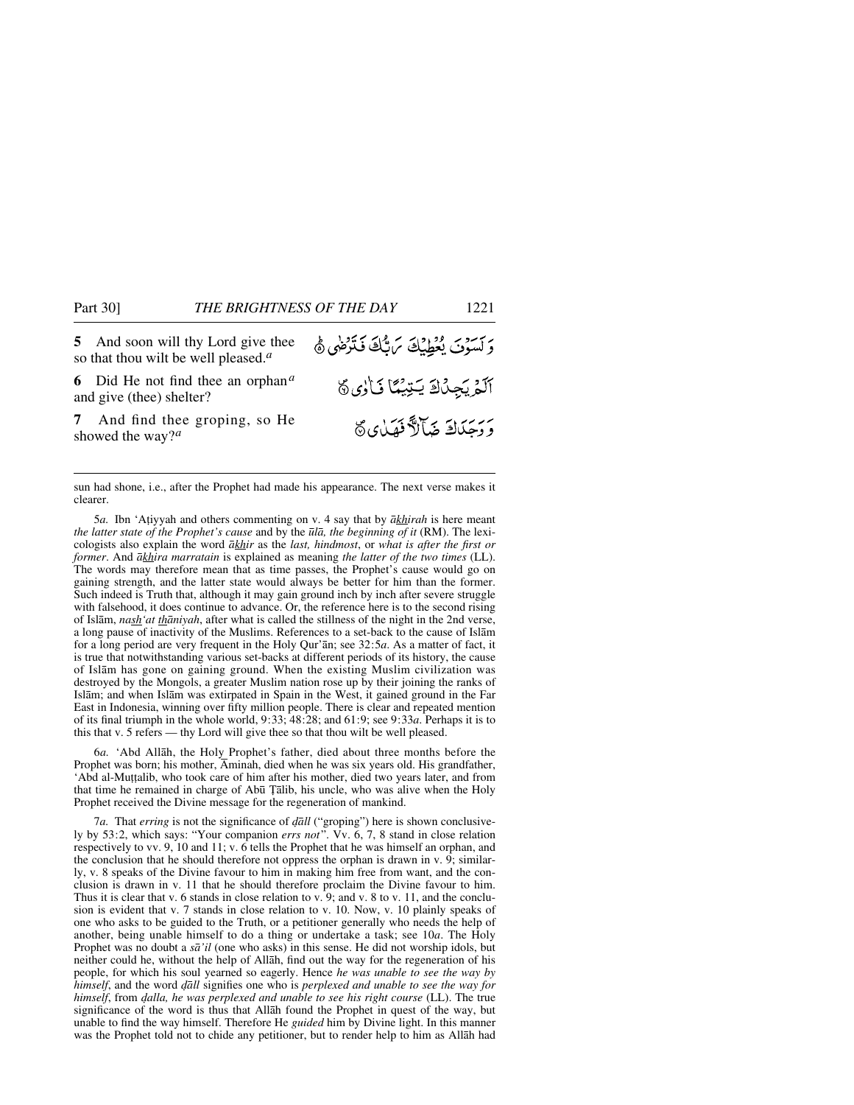**5** And soon will thy Lord give thee so that thou wilt be well pleased.*<sup>a</sup>*

**6** Did He not find thee an orphan*<sup>a</sup>* and give (thee) shelter?

**7** And find thee groping, so He showed the way?*<sup>a</sup>*

وَلَسَوْتَ يُعْطِيْكَ مَابُّكَ فَتَرْضَى ﴾ آلَمْ يَجِدُكَ يَتِيْمًا نَارُى ؟ ر<br>ووحَدَاكَ ضَآلاً فَهَدٰى كَ

sun had shone, i.e., after the Prophet had made his appearance. The next verse makes it clearer.

5*a.* Ibn 'A∆iyyah and others commenting on v. 4 say that by *åkhirah* is here meant *the latter state of the Prophet's cause* and by the *∂lå, the beginning of it* (RM). The lexicologists also explain the word *åkhir* as the *last, hindmost*, or *what is after the first or former*. And *åkhira marratain* is explained as meaning *the latter of the two times* (LL). The words may therefore mean that as time passes, the Prophet's cause would go on gaining strength, and the latter state would always be better for him than the former. Such indeed is Truth that, although it may gain ground inch by inch after severe struggle with falsehood, it does continue to advance. Or, the reference here is to the second rising of Islåm, *nash'at thåniyah*, after what is called the stillness of the night in the 2nd verse, a long pause of inactivity of the Muslims. References to a set-back to the cause of Islåm for a long period are very frequent in the Holy Qur'ån; see 32:5*a*. As a matter of fact, it is true that notwithstanding various set-backs at different periods of its history, the cause of Islåm has gone on gaining ground. When the existing Muslim civilization was destroyed by the Mongols, a greater Muslim nation rose up by their joining the ranks of Islåm; and when Islåm was extirpated in Spain in the West, it gained ground in the Far East in Indonesia, winning over fifty million people. There is clear and repeated mention of its final triumph in the whole world, 9:33; 48:28; and 61:9; see 9:33*a*. Perhaps it is to this that v. 5 refers — thy Lord will give thee so that thou wilt be well pleased.

6*a.* 'Abd Allåh, the Holy Prophet's father, died about three months before the Prophet was born; his mother, Åminah, died when he was six years old. His grandfather, 'Abd al-Mu∆∆alib, who took care of him after his mother, died two years later, and from that time he remained in charge of Abū Țālib, his uncle, who was alive when the Holy Prophet received the Divine message for the regeneration of mankind.

7*a*. That *erring* is not the significance of *dall* ("groping") here is shown conclusively by 53:2, which says: "Your companion *errs not*". Vv. 6, 7, 8 stand in close relation respectively to vv. 9, 10 and 11; v. 6 tells the Prophet that he was himself an orphan, and the conclusion that he should therefore not oppress the orphan is drawn in v. 9; similarly, v. 8 speaks of the Divine favour to him in making him free from want, and the conclusion is drawn in v. 11 that he should therefore proclaim the Divine favour to him. Thus it is clear that v. 6 stands in close relation to v. 9; and v. 8 to v. 11, and the conclusion is evident that v. 7 stands in close relation to v. 10. Now, v. 10 plainly speaks of one who asks to be guided to the Truth, or a petitioner generally who needs the help of another, being unable himself to do a thing or undertake a task; see 10*a*. The Holy Prophet was no doubt a *så'il* (one who asks) in this sense. He did not worship idols, but neither could he, without the help of Allåh, find out the way for the regeneration of his people, for which his soul yearned so eagerly. Hence *he was unable to see the way by himself*, and the word *˙åll* signifies one who is *perplexed and unable to see the way for himself*, from *˙alla, he was perplexed and unable to see his right course* (LL). The true significance of the word is thus that Allåh found the Prophet in quest of the way, but unable to find the way himself. Therefore He *guided* him by Divine light. In this manner was the Prophet told not to chide any petitioner, but to render help to him as Allåh had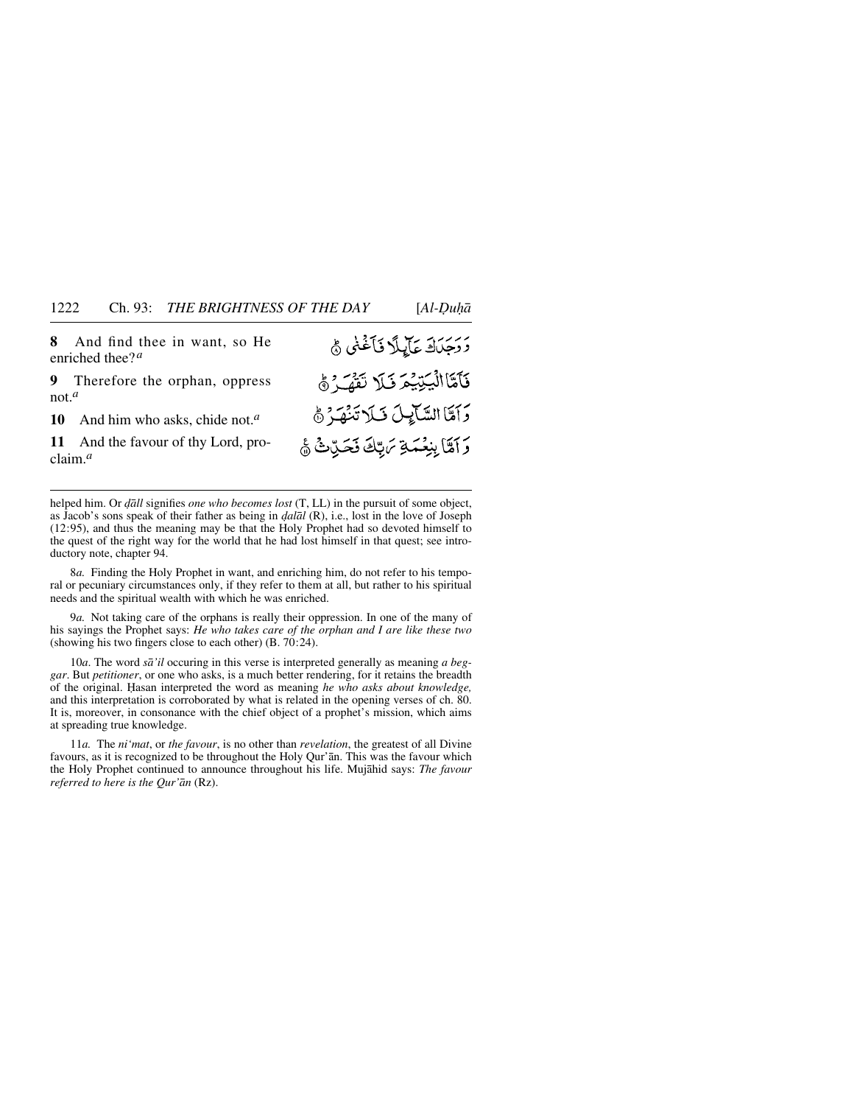**8** And find thee in want, so He enriched thee?*<sup>a</sup>*

**9** Therefore the orphan, oppress not.*<sup>a</sup>*

10 And him who asks, chide not.<sup>*a*</sup><br>11 And the favour of thy Lord, pro

And the favour of thy Lord, proclaim.*<sup>a</sup>*

## رُ رَجَدَكَ عَآيِيلًا فَأَغْنَى ﴾ فَأَمَّاالْيَتِيْمَ فَلَا تَفَهَّرُهُ وَآمَنَا السَّائِيلَ فَلَا تَنْهَدُهُ وَ آَمَّا بِنِعْمَةِ مَرِّبِّكَ فَحَرِّثٌ ﴾

helped him. Or *˙åll* signifies *one who becomes lost* (T, LL) in the pursuit of some object, as Jacob's sons speak of their father as being in *˙alål* (R), i.e., lost in the love of Joseph (12:95), and thus the meaning may be that the Holy Prophet had so devoted himself to the quest of the right way for the world that he had lost himself in that quest; see introductory note, chapter 94.

8*a.* Finding the Holy Prophet in want, and enriching him, do not refer to his temporal or pecuniary circumstances only, if they refer to them at all, but rather to his spiritual needs and the spiritual wealth with which he was enriched.

9*a.* Not taking care of the orphans is really their oppression. In one of the many of his sayings the Prophet says: *He who takes care of the orphan and I are like these two* (showing his two fingers close to each other) (B. 70:24).

10*a*. The word *så'il* occuring in this verse is interpreted generally as meaning *a beggar*. But *petitioner*, or one who asks, is a much better rendering, for it retains the breadth of the original. Ïasan interpreted the word as meaning *he who asks about knowledge,* and this interpretation is corroborated by what is related in the opening verses of ch. 80. It is, moreover, in consonance with the chief object of a prophet's mission, which aims at spreading true knowledge.

11*a.* The *ni'mat*, or *the favour*, is no other than *revelation*, the greatest of all Divine favours, as it is recognized to be throughout the Holy Qur'ån. This was the favour which the Holy Prophet continued to announce throughout his life. Mujåhid says: *The favour referred to here is the Qur'ån* (Rz).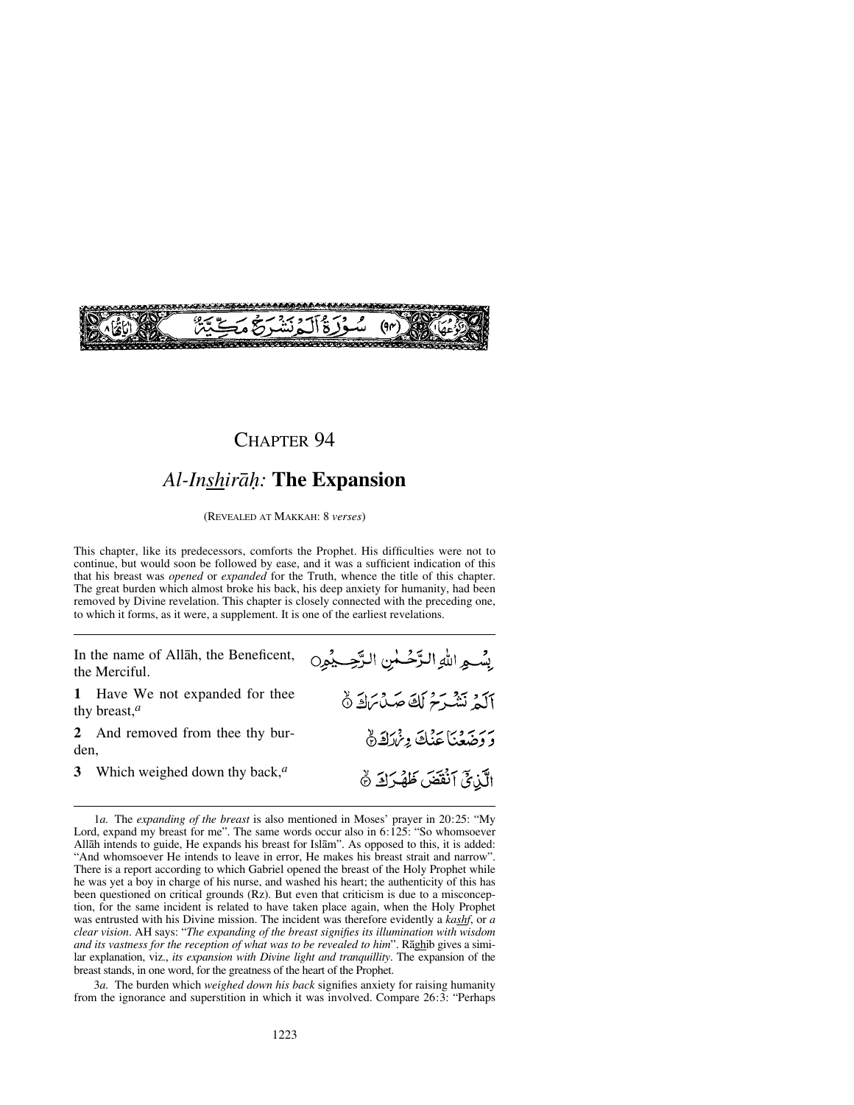

#### *Al-Inshiråƒ:* **The Expansion**

(REVEALED AT MAKKAH: 8 *verses*)

This chapter, like its predecessors, comforts the Prophet. His difficulties were not to continue, but would soon be followed by ease, and it was a sufficient indication of this that his breast was *opened* or *expanded* for the Truth, whence the title of this chapter. The great burden which almost broke his back, his deep anxiety for humanity, had been removed by Divine revelation. This chapter is closely connected with the preceding one, to which it forms, as it were, a supplement. It is one of the earliest revelations.

In the name of Allåh, the Beneficent, the Merciful.

**1** Have We not expanded for thee thy breast,*<sup>a</sup>*

**2** And removed from thee thy burden,

**3** Which weighed down thy back,*<sup>a</sup>*

3*a.* The burden which *weighed down his back* signifies anxiety for raising humanity from the ignorance and superstition in which it was involved. Compare 26:3: "Perhaps

بِسْمِ اللهِ الزَّحْسٰنِ الزَّحِيْمِينِ آلَمْ نَشْرَحْ لَكَ صَدْبَرَكَ ٥ بربر وبي بردي ون كقرة الَّذِيَّ اَنْقَصَ ظَهْرَكَ ﴾

<sup>1</sup>*a.* The *expanding of the breast* is also mentioned in Moses' prayer in 20:25: "My Lord, expand my breast for me". The same words occur also in 6:125: "So whomsoever Allåh intends to guide, He expands his breast for Islåm". As opposed to this, it is added: "And whomsoever He intends to leave in error, He makes his breast strait and narrow". There is a report according to which Gabriel opened the breast of the Holy Prophet while he was yet a boy in charge of his nurse, and washed his heart; the authenticity of this has been questioned on critical grounds (Rz). But even that criticism is due to a misconception, for the same incident is related to have taken place again, when the Holy Prophet was entrusted with his Divine mission. The incident was therefore evidently a *kashf*, or *a clear vision*. AH says: "*The expanding of the breast signifies its illumination with wisdom and its vastness for the reception of what was to be revealed to him*". Råghib gives a similar explanation, viz., *its expansion with Divine light and tranquillity*. The expansion of the breast stands, in one word, for the greatness of the heart of the Prophet.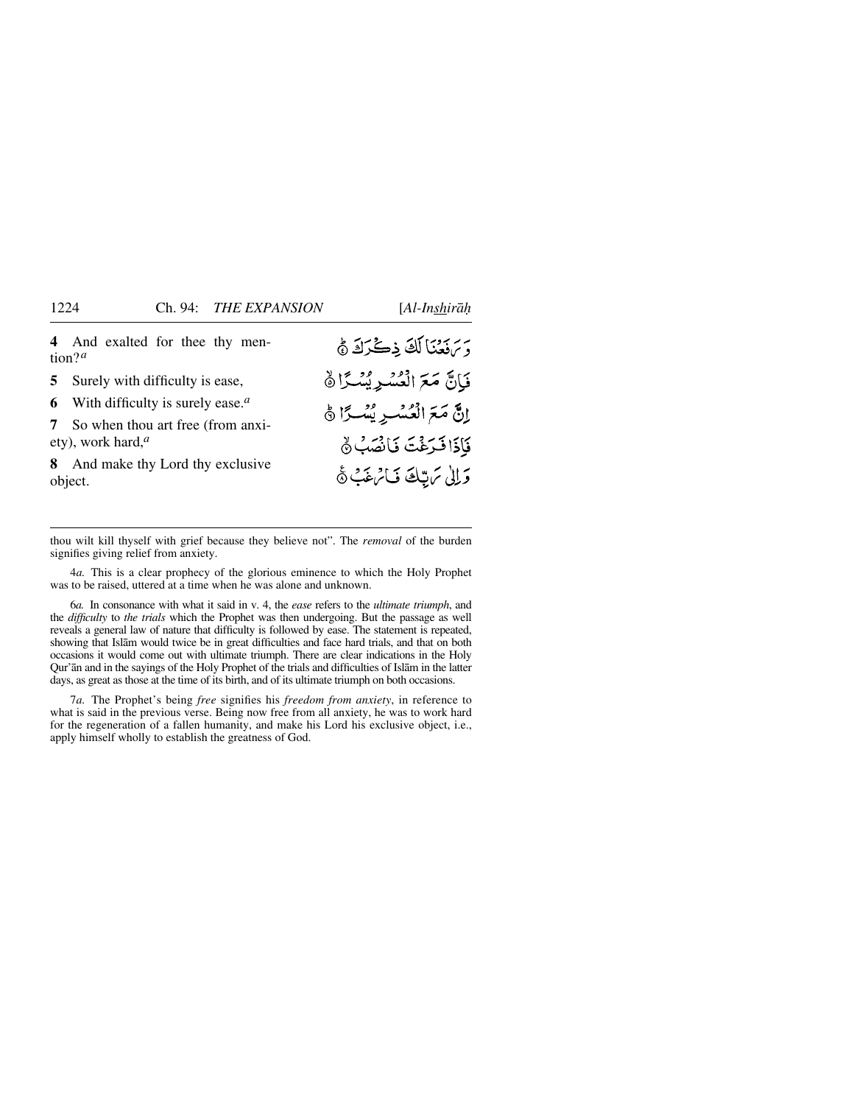**4** And exalted for thee thy mention?*<sup>a</sup>*

**5** Surely with difficulty is ease,

**6** With difficulty is surely ease.*<sup>a</sup>*

**7** So when thou art free (from anxiety), work hard,*<sup>a</sup>*

**8** And make thy Lord thy exclusive object.

د برنزد با لكَ ذِكْرَكَ ﴾ فَانَّ مَعَ الْعُسْدِ بُسْدًا ﴾ إِنَّ مَعَ الْعُسْيِرِ يُسْكِّ أَنَّ فَأَذَا فَدَغْتَ فَانْصَبُ ﴾ وَالِي مَ تِبْكَ فَامْ غَبْ ﴾

thou wilt kill thyself with grief because they believe not". The *removal* of the burden signifies giving relief from anxiety.

4*a.* This is a clear prophecy of the glorious eminence to which the Holy Prophet was to be raised, uttered at a time when he was alone and unknown.

6*a.* In consonance with what it said in v. 4, the *ease* refers to the *ultimate triumph*, and the *difficulty* to *the trials* which the Prophet was then undergoing. But the passage as well reveals a general law of nature that difficulty is followed by ease. The statement is repeated, showing that Islåm would twice be in great difficulties and face hard trials, and that on both occasions it would come out with ultimate triumph. There are clear indications in the Holy Qur'ån and in the sayings of the Holy Prophet of the trials and difficulties of Islåm in the latter days, as great as those at the time of its birth, and of its ultimate triumph on both occasions.

7*a.* The Prophet's being *free* signifies his *freedom from anxiety*, in reference to what is said in the previous verse. Being now free from all anxiety, he was to work hard for the regeneration of a fallen humanity, and make his Lord his exclusive object, i.e., apply himself wholly to establish the greatness of God.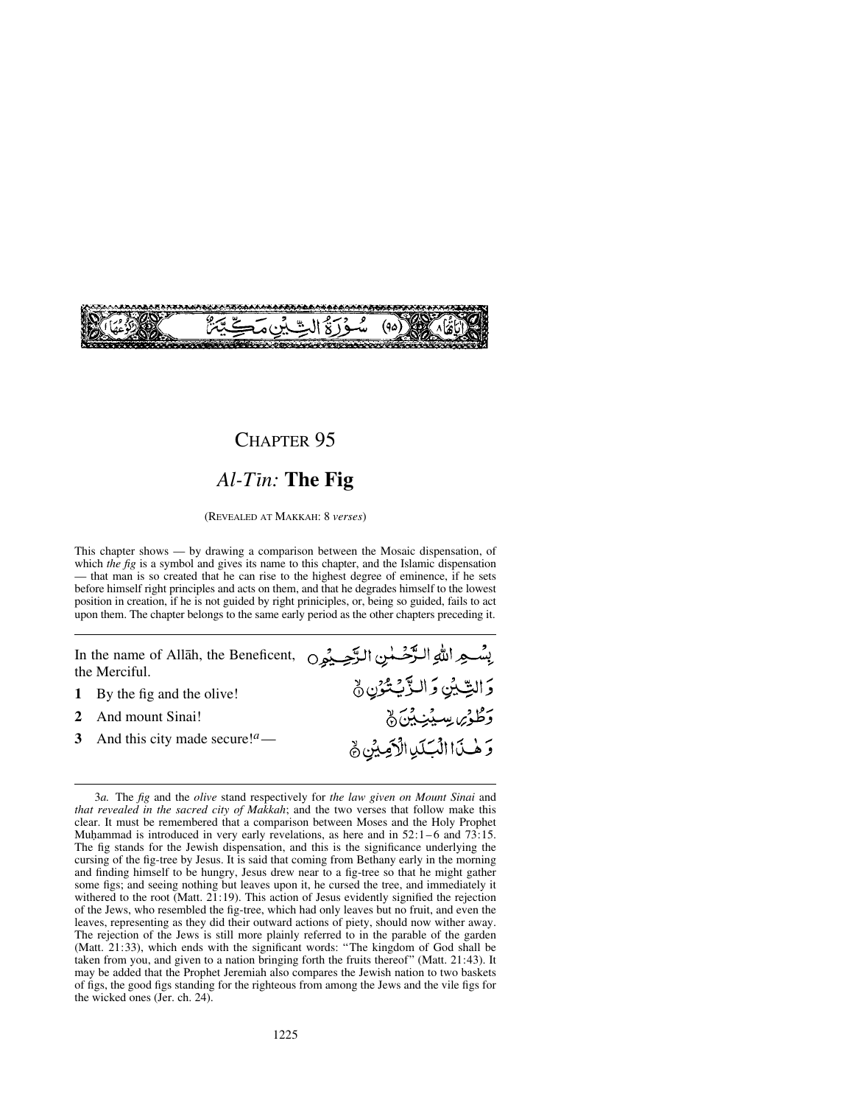

#### *Al-Tßn:* **The Fig**

(REVEALED AT MAKKAH: 8 *verses*)

This chapter shows — by drawing a comparison between the Mosaic dispensation, of which *the fig* is a symbol and gives its name to this chapter, and the Islamic dispensation — that man is so created that he can rise to the highest degree of eminence, if he sets before himself right principles and acts on them, and that he degrades himself to the lowest position in creation, if he is not guided by right priniciples, or, being so guided, fails to act upon them. The chapter belongs to the same early period as the other chapters preceding it.

In the name of Allåh, the Beneficent, the Merciful. 5التِّيُنِ وَالزَّيْتُوْنِ نَّ **1** By the fig and the olive!<br>**2** And mount Sinai! ر<br>وَطُوْىِ سِيْنِ بِّنَ نَّ 2 And mount Sinai!<br>3 And this city made **3** And this city made secure!*a*— وَهْنَ االْبَلَيْ الْأَصِيْنِ ﴾

<sup>3</sup>*a.* The *fig* and the *olive* stand respectively for *the law given on Mount Sinai* and *that revealed in the sacred city of Makkah*; and the two verses that follow make this clear. It must be remembered that a comparison between Moses and the Holy Prophet Muhammad is introduced in very early revelations, as here and in  $52:1-6$  and  $73:15$ . The fig stands for the Jewish dispensation, and this is the significance underlying the cursing of the fig-tree by Jesus. It is said that coming from Bethany early in the morning and finding himself to be hungry, Jesus drew near to a fig-tree so that he might gather some figs; and seeing nothing but leaves upon it, he cursed the tree, and immediately it withered to the root (Matt. 21:19). This action of Jesus evidently signified the rejection of the Jews, who resembled the fig-tree, which had only leaves but no fruit, and even the leaves, representing as they did their outward actions of piety, should now wither away. The rejection of the Jews is still more plainly referred to in the parable of the garden (Matt. 21:33), which ends with the significant words: "The kingdom of God shall be taken from you, and given to a nation bringing forth the fruits thereof" (Matt. 21:43). It may be added that the Prophet Jeremiah also compares the Jewish nation to two baskets of figs, the good figs standing for the righteous from among the Jews and the vile figs for the wicked ones (Jer. ch. 24).